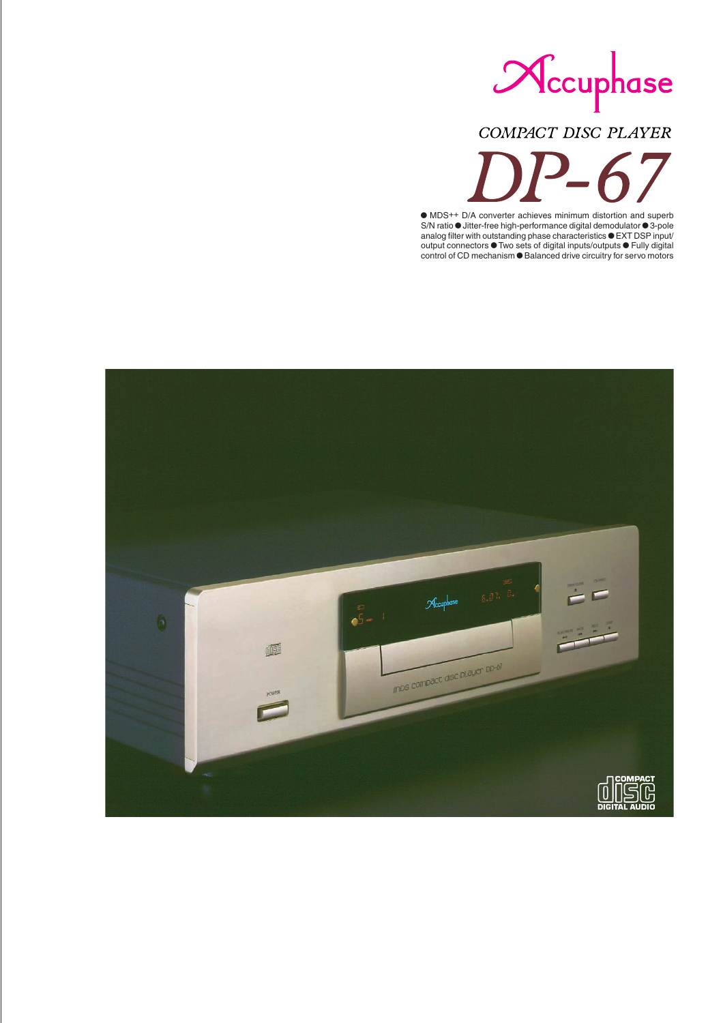

# COMPACT DISC PLAYER

 MDS++ D/A converter achieves minimum distortion and superb S/N ratio  $\bullet$  Jitter-free high-performance digital demodulator  $\bullet$  3-pole analog filter with outstanding phase characteristics  $\bullet$  EXT DSP input/ output connectors  $\bullet$  Two sets of digital inputs/outputs  $\bullet$  Fully digital control of CD mechanism  $\bullet$  Balanced drive circuitry for servo motors

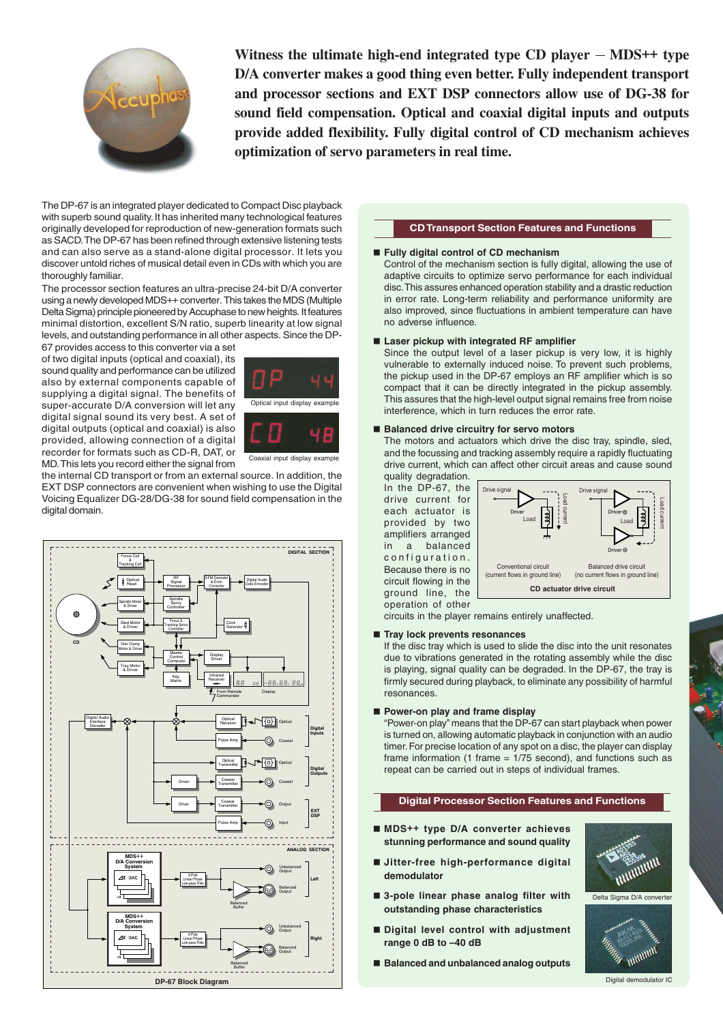

Witness the ultimate high-end integrated type  $CD$  player  $-$  MDS<sup>++</sup> type **D/A converter makes a good thing even better. Fully independent transport and processor sections and EXT DSP connectors allow use of DG-38 for sound field compensation. Optical and coaxial digital inputs and outputs provide added flexibility. Fully digital control of CD mechanism achieves optimization of servo parameters in real time.**

The DP-67 is an integrated player dedicated to Compact Disc playback with superb sound quality. It has inherited many technological features originally developed for reproduction of new-generation formats such as SACD. The DP-67 has been refined through extensive listening tests and can also serve as a stand-alone digital processor. It lets you discover untold riches of musical detail even in CDs with which you are thoroughly familiar.

The processor section features an ultra-precise 24-bit D/A converter using a newly developed MDS++ converter. This takes the MDS (Multiple Delta Sigma) principle pioneered by Accuphase to new heights. It features minimal distortion, excellent S/N ratio, superb linearity at low signal levels, and outstanding performance in all other aspects. Since the DP-

67 provides access to this converter via a set of two digital inputs (optical and coaxial), its sound quality and performance can be utilized also by external components capable of supplying a digital signal. The benefits of super-accurate D/A conversion will let any digital signal sound its very best. A set of digital outputs (optical and coaxial) is also provided, allowing connection of a digital recorder for formats such as CD-R, DAT, or MD. This lets you record either the signal from





Coaxial input display example

the internal CD transport or from an external source. In addition, the EXT DSP connectors are convenient when wishing to use the Digital Voicing Equalizer DG-28/DG-38 for sound field compensation in the digital domain.



## **CD Transport Section Features and Functions**

## **Fully digital control of CD mechanism**

Control of the mechanism section is fully digital, allowing the use of adaptive circuits to optimize servo performance for each individual disc. This assures enhanced operation stability and a drastic reduction in error rate. Long-term reliability and performance uniformity are also improved, since fluctuations in ambient temperature can have no adverse influence.

## ■ Laser pickup with integrated RF amplifier

Since the output level of a laser pickup is very low, it is highly vulnerable to externally induced noise. To prevent such problems, the pickup used in the DP-67 employs an RF amplifier which is so compact that it can be directly integrated in the pickup assembly. This assures that the high-level output signal remains free from noise interference, which in turn reduces the error rate.

#### ■ Balanced drive circuitry for servo motors

The motors and actuators which drive the disc tray, spindle, sled, and the focussing and tracking assembly require a rapidly fluctuating drive current, which can affect other circuit areas and cause sound

quality degradation. In the DP-67, the drive current for each actuator is provided by two amplifiers arranged in a balanced configuration. Because there is no circuit flowing in the ground line, the operation of other



circuits in the player remains entirely unaffected.

#### **Tray lock prevents resonances**

If the disc tray which is used to slide the disc into the unit resonates due to vibrations generated in the rotating assembly while the disc is playing, signal quality can be degraded. In the DP-67, the tray is firmly secured during playback, to eliminate any possibility of harmful resonances.

#### **Power-on play and frame display**

"Power-on play" means that the DP-67 can start playback when power is turned on, allowing automatic playback in conjunction with an audio timer. For precise location of any spot on a disc, the player can display frame information (1 frame  $= 1/75$  second), and functions such as repeat can be carried out in steps of individual frames.

#### **Digital Processor Section Features and Functions**

- **MDS++ type D/A converter achieves stunning performance and sound quality**
- **Jitter-free high-performance digital demodulator**
- **3-pole linear phase analog filter with outstanding phase characteristics**
- **Digital level control with adjustment range 0 dB to –40 dB**
- **Balanced and unbalanced analog outputs**



Delta Sigma D/A converter

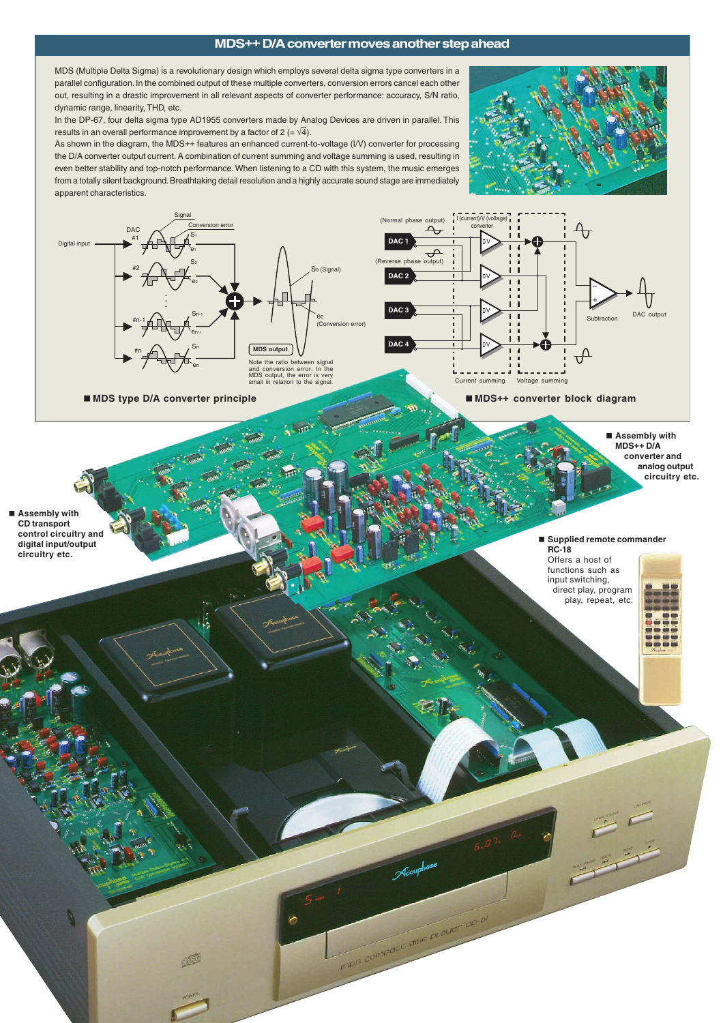## **MDS++ D/A converter moves another step ahead**

MDS (Multiple Delta Sigma) is a revolutionary design which employs several delta sigma type converters in a parallel configuration. In the combined output of these multiple converters, conversion errors cancel each other out, resulting in a drastic improvement in all relevant aspects of converter performance: accuracy, S/N ratio, dynamic range, linearity, THD, etc.

In the DP-67, four delta sigma type AD1955 converters made by Analog Devices are driven in parallel. This results in an overall performance improvement by a factor of  $2 (= \sqrt{4})$ .

As shown in the diagram, the MDS++ features an enhanced current-to-voltage (I/V) converter for processing the D/A converter output current. A combination of current summing and voltage summing is used, resulting in even better stability and top-notch performance. When listening to a CD with this system, the music emerges from a totally silent background. Breathtaking detail resolution and a highly accurate sound stage are immediately apparent characteristics.